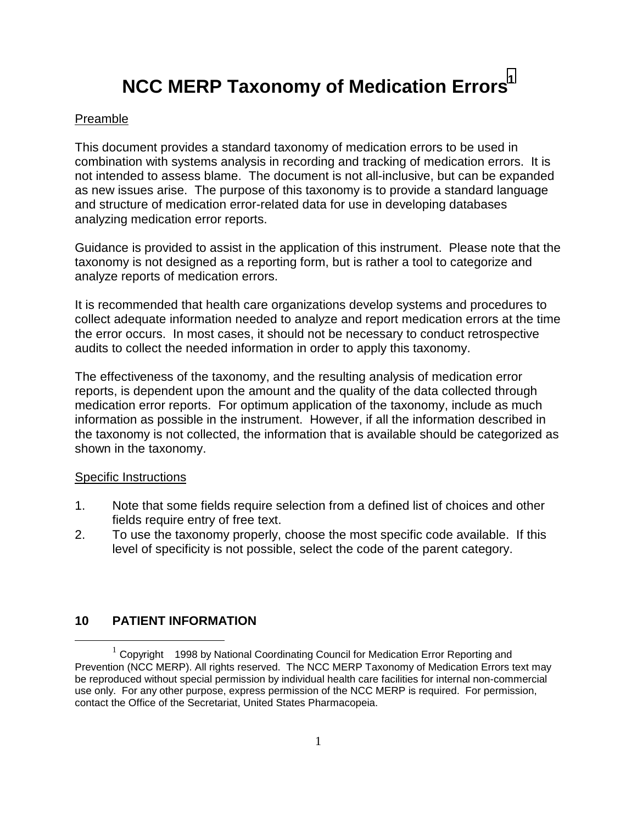# **NCC MERP Taxonomy of Medication Errors<sup>1</sup>**

#### Preamble

This document provides a standard taxonomy of medication errors to be used in combination with systems analysis in recording and tracking of medication errors. It is not intended to assess blame. The document is not all-inclusive, but can be expanded as new issues arise. The purpose of this taxonomy is to provide a standard language and structure of medication error-related data for use in developing databases analyzing medication error reports.

Guidance is provided to assist in the application of this instrument. Please note that the taxonomy is not designed as a reporting form, but is rather a tool to categorize and analyze reports of medication errors.

It is recommended that health care organizations develop systems and procedures to collect adequate information needed to analyze and report medication errors at the time the error occurs. In most cases, it should not be necessary to conduct retrospective audits to collect the needed information in order to apply this taxonomy.

The effectiveness of the taxonomy, and the resulting analysis of medication error reports, is dependent upon the amount and the quality of the data collected through medication error reports. For optimum application of the taxonomy, include as much information as possible in the instrument. However, if all the information described in the taxonomy is not collected, the information that is available should be categorized as shown in the taxonomy.

#### Specific Instructions

- 1. Note that some fields require selection from a defined list of choices and other fields require entry of free text.
- 2. To use the taxonomy properly, choose the most specific code available. If this level of specificity is not possible, select the code of the parent category.

#### **10 PATIENT INFORMATION**

 $1$  Copyright ©1998 by National Coordinating Council for Medication Error Reporting and Prevention (NCC MERP). All rights reserved. The NCC MERP Taxonomy of Medication Errors text may be reproduced without special permission by individual health care facilities for internal non-commercial use only. For any other purpose, express permission of the NCC MERP is required. For permission, contact the Office of the Secretariat, United States Pharmacopeia.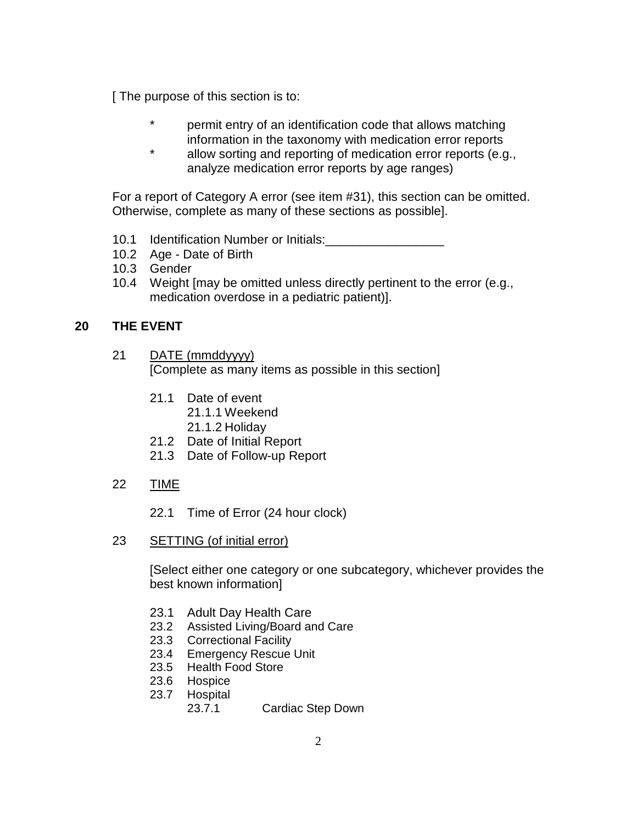[ The purpose of this section is to:

- \* permit entry of an identification code that allows matching information in the taxonomy with medication error reports
- \* allow sorting and reporting of medication error reports (e.g., analyze medication error reports by age ranges)

For a report of Category A error (see item #31), this section can be omitted. Otherwise, complete as many of these sections as possible].

- 10.1 Identification Number or Initials:\_\_\_\_\_\_\_\_\_\_\_\_\_\_\_\_\_
- 10.2 Age Date of Birth
- 10.3 Gender
- 10.4 Weight [may be omitted unless directly pertinent to the error (e.g., medication overdose in a pediatric patient)].

# **20 THE EVENT**

- 21 DATE (mmddyyyy) [Complete as many items as possible in this section]
	- 21.1 Date of event
		- 21.1.1 Weekend
		- 21.1.2 Holiday
	- 21.2 Date of Initial Report
	- 21.3 Date of Follow-up Report
- 22 TIME
	- 22.1 Time of Error (24 hour clock)
- 23 SETTING (of initial error)

[Select either one category or one subcategory, whichever provides the best known information]

- 23.1 Adult Day Health Care
- 23.2 Assisted Living/Board and Care
- 23.3 Correctional Facility
- 23.4 Emergency Rescue Unit
- 23.5 Health Food Store
- 23.6 Hospice
- 23.7 Hospital
	- 23.7.1 Cardiac Step Down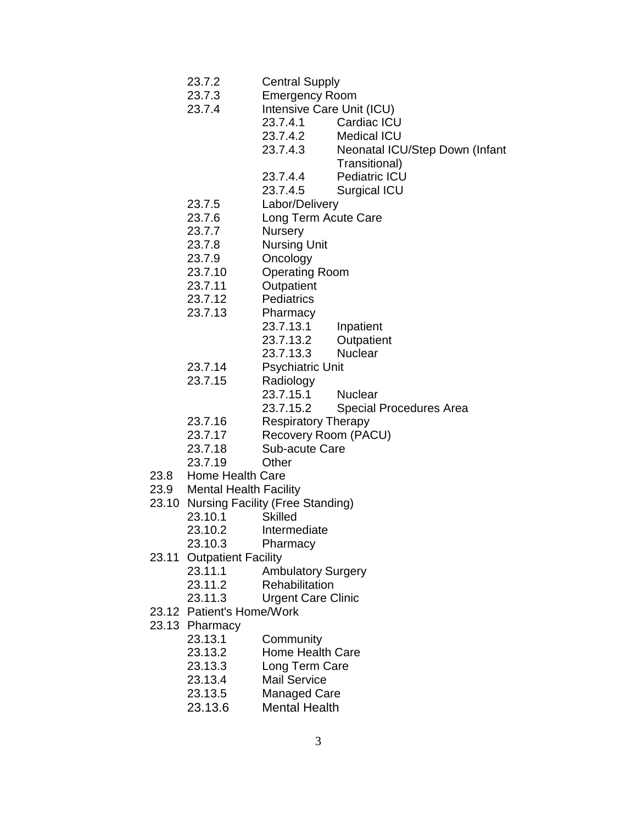- 23.7.2 Central Supply
- 23.7.3 Emergency Room
- 23.7.4 Intensive Care Unit (ICU)
	- 23.7.4.1 Cardiac ICU
		- 23.7.4.2 Medical ICU
		- 23.7.4.3 Neonatal ICU/Step Down (Infant
			- Transitional)
		- 23.7.4.4 Pediatric ICU
	- 23.7.4.5 Surgical ICU
- 23.7.5 Labor/Delivery
- 23.7.6 Long Term Acute Care
- 23.7.7 Nursery
- 23.7.8 Nursing Unit
- 23.7.9 Oncology
- 23.7.10 Operating Room
- 23.7.11 Outpatient
- 23.7.12 Pediatrics
- 23.7.13 Pharmacy
	- 23.7.13.1 Inpatient
		- 23.7.13.2 Outpatient
		- 23.7.13.3 Nuclear
- 23.7.14 Psychiatric Unit
- 23.7.15 Radiology
	- 23.7.15.1 Nuclear
	- 23.7.15.2 Special Procedures Area
- 23.7.16 Respiratory Therapy
- 23.7.17 Recovery Room (PACU)
- 23.7.18 Sub-acute Care
- 23.7.19 Other
- 23.8 Home Health Care
- 23.9 Mental Health Facility
- 23.10 Nursing Facility (Free Standing)
	- 23.10.1 Skilled
	- 23.10.2 Intermediate
	- 23.10.3 Pharmacy
- 23.11 Outpatient Facility
	- 23.11.1 Ambulatory Surgery
	- 23.11.2 Rehabilitation
	- 23.11.3 Urgent Care Clinic
- 23.12 Patient's Home/Work
- 23.13 Pharmacy
	- 23.13.1 Community
	- 23.13.2 Home Health Care
	- 23.13.3 Long Term Care
	- 23.13.4 Mail Service
	- 23.13.5 Managed Care
	- 23.13.6 Mental Health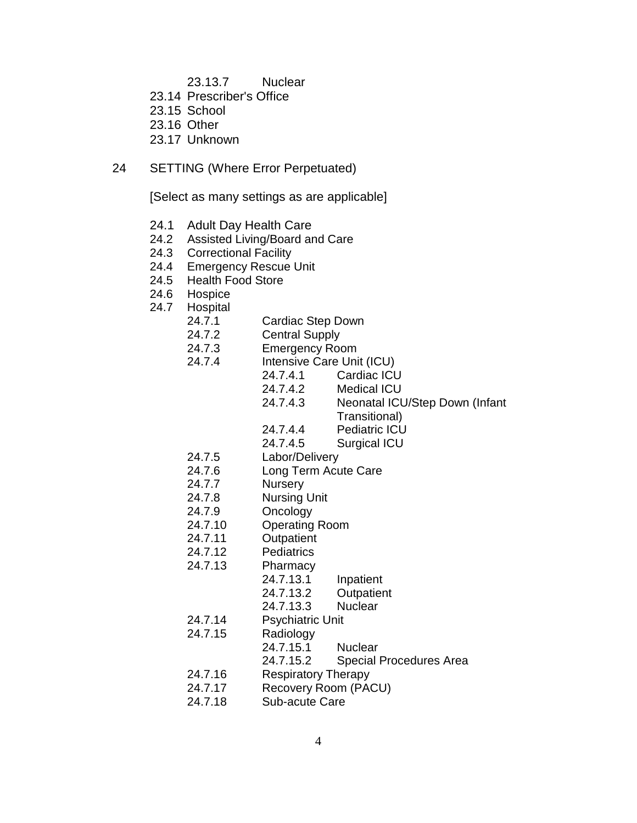- 23.13.7 Nuclear
- 23.14 Prescriber's Office
- 23.15 School
- 23.16 Other
- 23.17 Unknown
- 24 SETTING (Where Error Perpetuated)

[Select as many settings as are applicable]

- 24.1 Adult Day Health Care
- 24.2 Assisted Living/Board and Care
- 24.3 Correctional Facility
- 24.4 Emergency Rescue Unit
- 24.5 Health Food Store
- 24.6 Hospice
- 24.7 Hospital
	- 24.7.1 Cardiac Step Down
	- 24.7.2 Central Supply
	- 24.7.3 Emergency Room
	- 24.7.4 Intensive Care Unit (ICU)
		- 24.7.4.1 Cardiac ICU
		- 24.7.4.2 Medical ICU
		- 24.7.4.3 Neonatal ICU/Step Down (Infant Transitional)
			-
		- 24.7.4.4 Pediatric ICU 24.7.4.5 Surgical ICU
		-
	- 24.7.5 Labor/Delivery
	- 24.7.6 Long Term Acute Care
	- 24.7.7 Nursery
	- 24.7.8 Nursing Unit
	- 24.7.9 Oncology
	- 24.7.10 Operating Room
	- 24.7.11 Outpatient
	- 24.7.12 Pediatrics
	- 24.7.13 Pharmacy
		- 24.7.13.1 Inpatient
			- 24.7.13.2 Outpatient
		- 24.7.13.3 Nuclear
	- 24.7.14 Psychiatric Unit
	- 24.7.15 Radiology
		- 24.7.15.1 Nuclear
			- 24.7.15.2 Special Procedures Area
	- 24.7.16 Respiratory Therapy
	- 24.7.17 Recovery Room (PACU)
	- 24.7.18 Sub-acute Care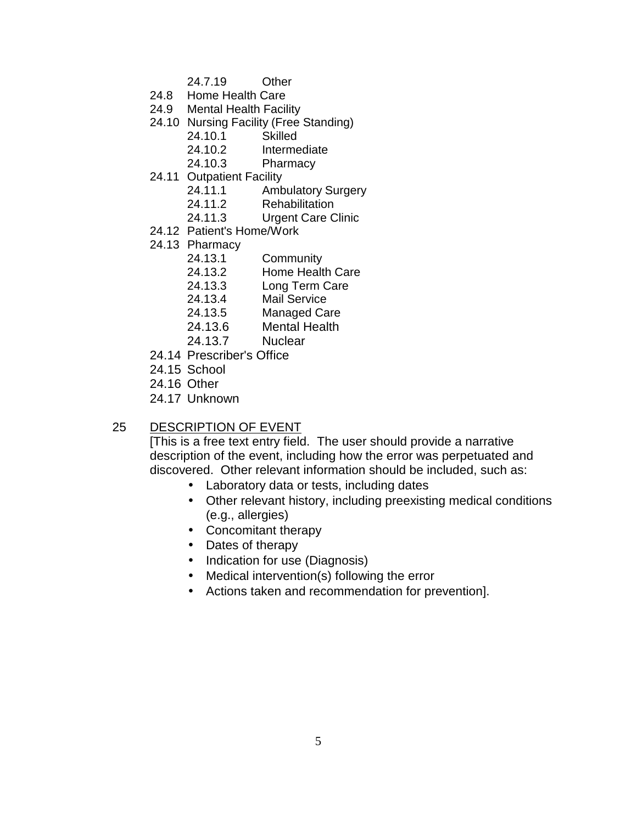- 24.7.19 Other
- 24.8 Home Health Care
- 24.9 Mental Health Facility
- 24.10 Nursing Facility (Free Standing)
	- 24.10.1 Skilled
	- 24.10.2 Intermediate
	- 24.10.3 Pharmacy
- 24.11 Outpatient Facility
	- 24.11.1 Ambulatory Surgery
	- 24.11.2 Rehabilitation
	- 24.11.3 Urgent Care Clinic
- 24.12 Patient's Home/Work
- 24.13 Pharmacy
	- 24.13.1 Community
	- 24.13.2 Home Health Care
	- 24.13.3 Long Term Care
	- 24.13.4 Mail Service
	- 24.13.5 Managed Care
	- 24.13.6 Mental Health
	- 24.13.7 Nuclear
- 24.14 Prescriber's Office
- 24.15 School
- 24.16 Other
- 24.17 Unknown

## 25 DESCRIPTION OF EVENT

[This is a free text entry field. The user should provide a narrative description of the event, including how the error was perpetuated and discovered. Other relevant information should be included, such as:

- Laboratory data or tests, including dates
- Other relevant history, including preexisting medical conditions (e.g., allergies)
- Concomitant therapy
- Dates of therapy
- Indication for use (Diagnosis)
- Medical intervention(s) following the error
- Actions taken and recommendation for prevention].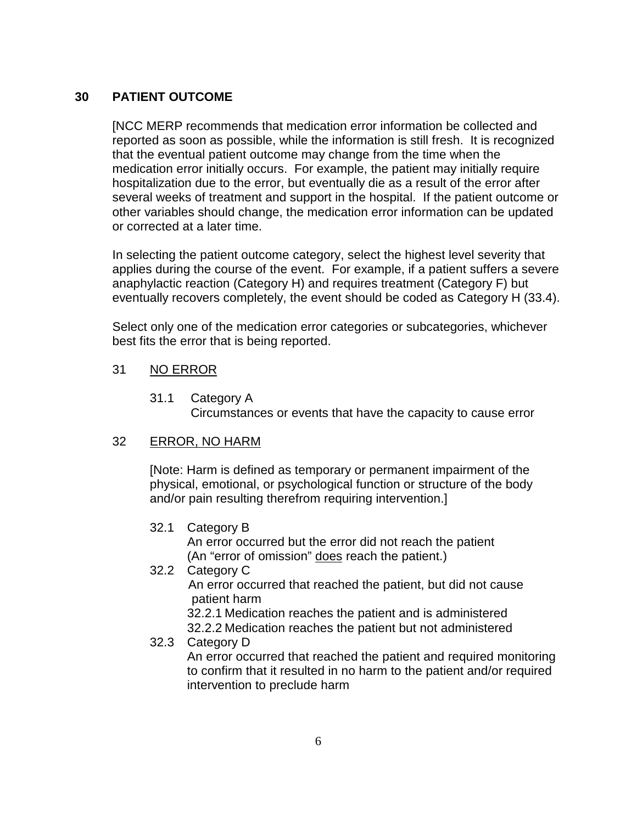# **30 PATIENT OUTCOME**

[NCC MERP recommends that medication error information be collected and reported as soon as possible, while the information is still fresh. It is recognized that the eventual patient outcome may change from the time when the medication error initially occurs. For example, the patient may initially require hospitalization due to the error, but eventually die as a result of the error after several weeks of treatment and support in the hospital. If the patient outcome or other variables should change, the medication error information can be updated or corrected at a later time.

In selecting the patient outcome category, select the highest level severity that applies during the course of the event. For example, if a patient suffers a severe anaphylactic reaction (Category H) and requires treatment (Category F) but eventually recovers completely, the event should be coded as Category H (33.4).

Select only one of the medication error categories or subcategories, whichever best fits the error that is being reported.

# 31 NO ERROR

31.1 Category A Circumstances or events that have the capacity to cause error

## 32 ERROR, NO HARM

[Note: Harm is defined as temporary or permanent impairment of the physical, emotional, or psychological function or structure of the body and/or pain resulting therefrom requiring intervention.]

32.1 Category B

An error occurred but the error did not reach the patient (An "error of omission" does reach the patient.)

32.2 Category C

 An error occurred that reached the patient, but did not cause patient harm

32.2.1 Medication reaches the patient and is administered 32.2.2 Medication reaches the patient but not administered

## 32.3 Category D

An error occurred that reached the patient and required monitoring to confirm that it resulted in no harm to the patient and/or required intervention to preclude harm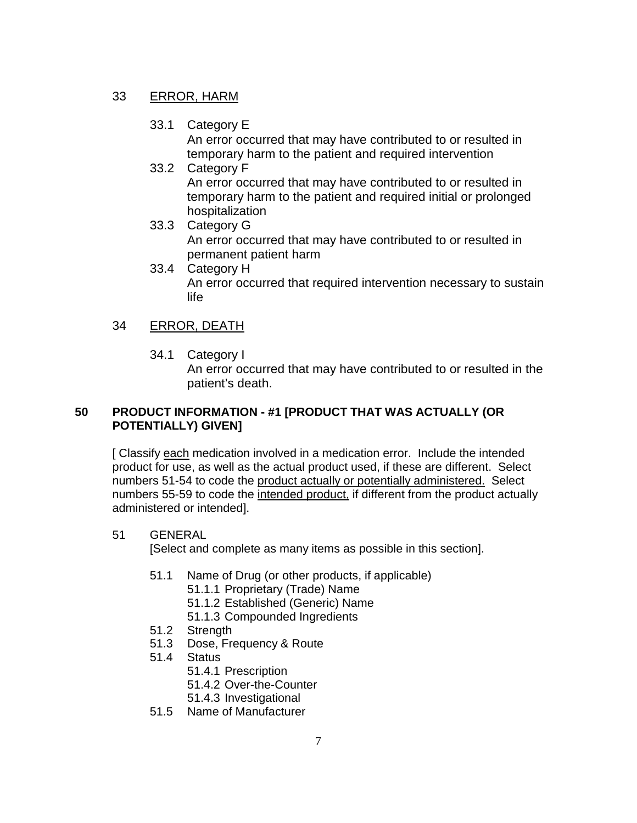## 33 ERROR, HARM

33.1 Category E

An error occurred that may have contributed to or resulted in temporary harm to the patient and required intervention

- 33.2 Category F An error occurred that may have contributed to or resulted in temporary harm to the patient and required initial or prolonged hospitalization
- 33.3 Category G An error occurred that may have contributed to or resulted in permanent patient harm
- 33.4 Category H An error occurred that required intervention necessary to sustain life

# 34 ERROR, DEATH

34.1 Category I

An error occurred that may have contributed to or resulted in the patient's death.

## **50 PRODUCT INFORMATION - #1 [PRODUCT THAT WAS ACTUALLY (OR POTENTIALLY) GIVEN]**

[ Classify each medication involved in a medication error. Include the intended product for use, as well as the actual product used, if these are different. Select numbers 51-54 to code the product actually or potentially administered. Select numbers 55-59 to code the intended product, if different from the product actually administered or intended].

#### 51 GENERAL

[Select and complete as many items as possible in this section].

- 51.1 Name of Drug (or other products, if applicable)
	- 51.1.1 Proprietary (Trade) Name
	- 51.1.2 Established (Generic) Name
	- 51.1.3 Compounded Ingredients
- 51.2 Strength
- 51.3 Dose, Frequency & Route
- 51.4 Status
	- 51.4.1 Prescription
	- 51.4.2 Over-the-Counter
	- 51.4.3 Investigational
- 51.5 Name of Manufacturer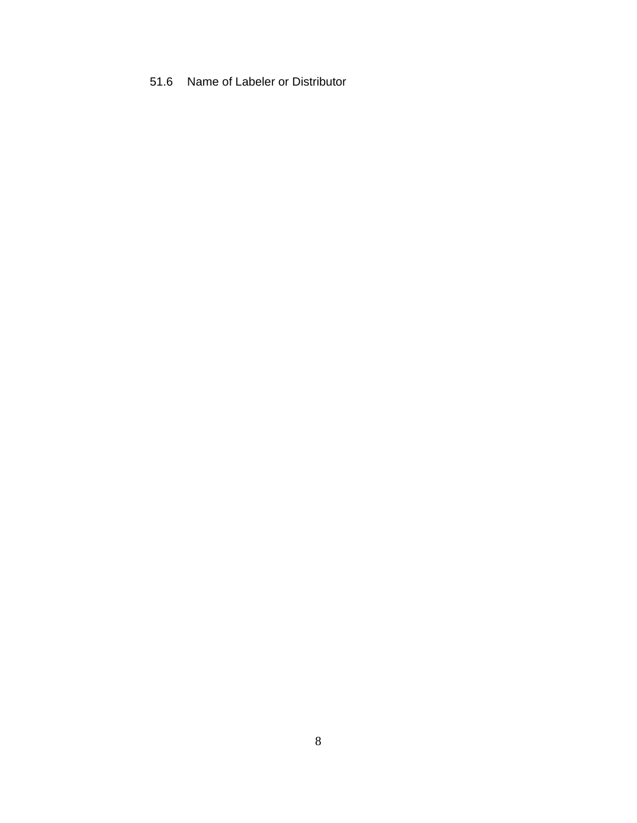# 51.6 Name of Labeler or Distributor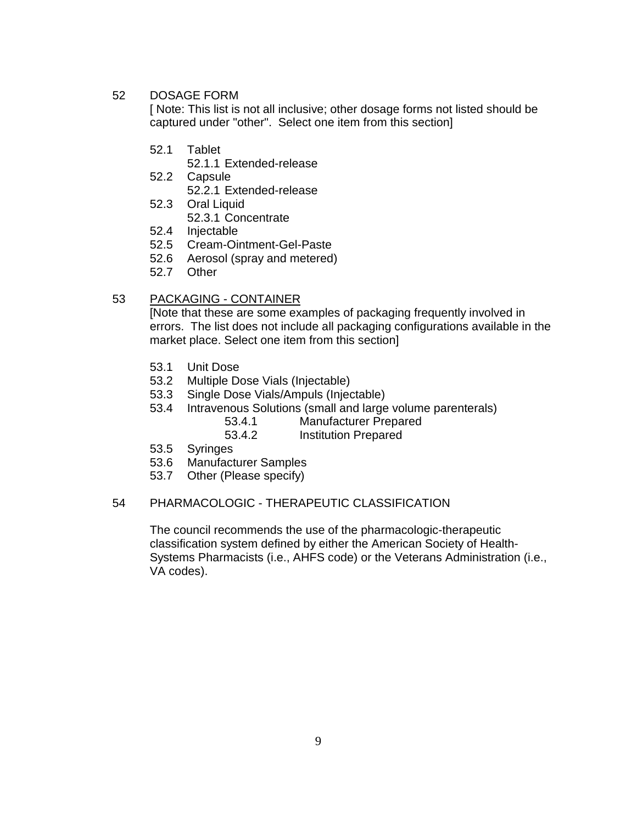#### 52 DOSAGE FORM

[ Note: This list is not all inclusive; other dosage forms not listed should be captured under "other". Select one item from this section]

- 52.1 Tablet
	- 52.1.1 Extended-release
- 52.2 Capsule

52.2.1 Extended-release

- 52.3 Oral Liquid 52.3.1 Concentrate
- 52.4 Injectable
- 52.5 Cream-Ointment-Gel-Paste
- 52.6 Aerosol (spray and metered)
- 52.7 Other

#### 53 PACKAGING - CONTAINER

[Note that these are some examples of packaging frequently involved in errors. The list does not include all packaging configurations available in the market place. Select one item from this section]

- 53.1 Unit Dose
- 53.2 Multiple Dose Vials (Injectable)
- 53.3 Single Dose Vials/Ampuls (Injectable)
- 53.4 Intravenous Solutions (small and large volume parenterals)
	- 53.4.1 Manufacturer Prepared
	- 53.4.2 Institution Prepared
- 53.5 Syringes
- 53.6 Manufacturer Samples
- 53.7 Other (Please specify)

#### 54 PHARMACOLOGIC - THERAPEUTIC CLASSIFICATION

The council recommends the use of the pharmacologic-therapeutic classification system defined by either the American Society of Health-Systems Pharmacists (i.e., AHFS code) or the Veterans Administration (i.e., VA codes).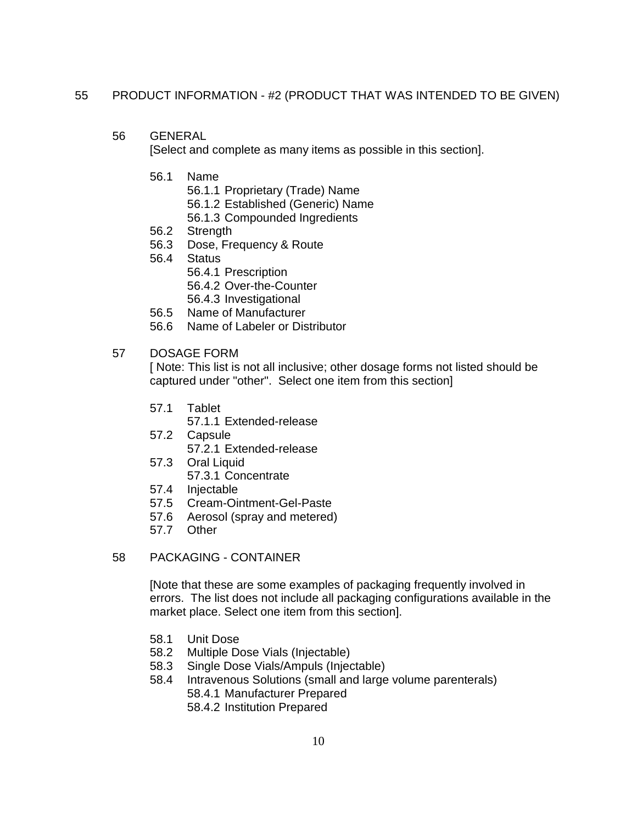#### 55 PRODUCT INFORMATION - #2 (PRODUCT THAT WAS INTENDED TO BE GIVEN)

56 GENERAL

[Select and complete as many items as possible in this section].

- 56.1 Name
	- 56.1.1 Proprietary (Trade) Name
	- 56.1.2 Established (Generic) Name
	- 56.1.3 Compounded Ingredients
- 56.2 Strength
- 56.3 Dose, Frequency & Route
- 56.4 Status
	- 56.4.1 Prescription
		- 56.4.2 Over-the-Counter
	- 56.4.3 Investigational
- 56.5 Name of Manufacturer
- 56.6 Name of Labeler or Distributor

#### 57 DOSAGE FORM

[ Note: This list is not all inclusive; other dosage forms not listed should be captured under "other". Select one item from this section]

- 57.1 Tablet
	- 57.1.1 Extended-release
- 57.2 Capsule 57.2.1 Extended-release
- 57.3 Oral Liquid
- 57.3.1 Concentrate
- 57.4 Injectable
- 57.5 Cream-Ointment-Gel-Paste
- 57.6 Aerosol (spray and metered)
- 57.7 Other

#### 58 PACKAGING - CONTAINER

[Note that these are some examples of packaging frequently involved in errors. The list does not include all packaging configurations available in the market place. Select one item from this section].

- 58.1 Unit Dose<br>58.2 Multiple Do
- Multiple Dose Vials (Injectable)
- 58.3 Single Dose Vials/Ampuls (Injectable)
- 58.4 Intravenous Solutions (small and large volume parenterals) 58.4.1 Manufacturer Prepared
	- 58.4.2 Institution Prepared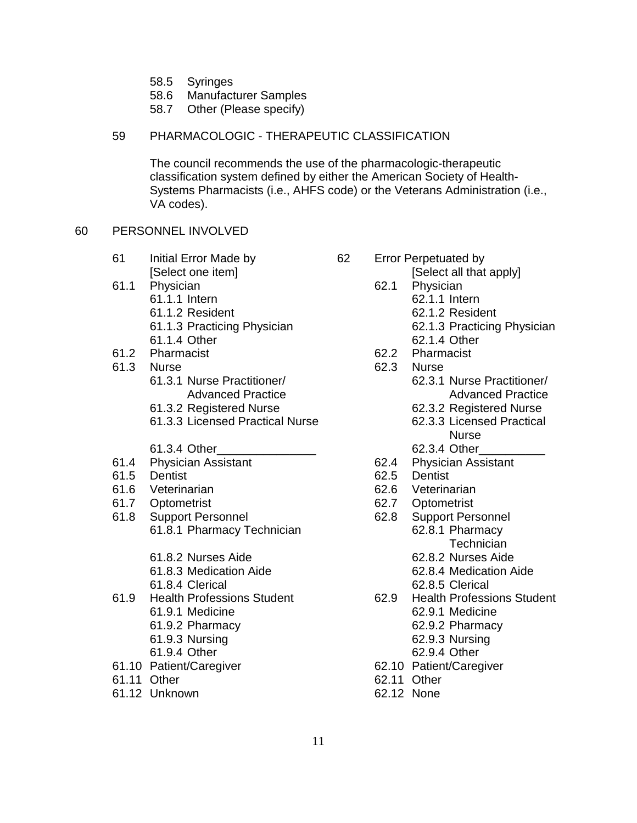- 58.5 Syringes
- 58.6 Manufacturer Samples
- 58.7 Other (Please specify)

#### 59 PHARMACOLOGIC - THERAPEUTIC CLASSIFICATION

The council recommends the use of the pharmacologic-therapeutic classification system defined by either the American Society of Health-Systems Pharmacists (i.e., AHFS code) or the Veterans Administration (i.e., VA codes).

#### 60 PERSONNEL INVOLVED

- 61 Initial Error Made by 62 Error Perpetuated by
- 61.1 Physician 62.1 Physician
	- -
		-
	-
- 61.2 Pharmacist 62.2 Pharmacist
- -
	-
	- 61.3.3 Licensed Practical Nurse 62.3.3 Licensed Practical
	-
- 61.3.4 Other\_\_\_\_\_\_\_\_\_\_\_\_\_\_\_ 62.3.4 Other\_\_\_\_\_\_\_\_\_\_ 61.4 Physician Assistant 62.4 Physician Assistant
- 61.5 Dentist 62.5 Dentist
- 61.6 Veterinarian 62.6 Veterinarian
- 61.7 Optometrist 62.7 Optometrist
- 61.8 Support Personnel 62.8 Support Personnel 61.8.1 Pharmacy Technician 62.8.1 Pharmacy
	- 61.8.2 Nurses Aide 62.8.2 Nurses Aide
	-
	-
- - - 61.9.2 Pharmacy 62.9.2 Pharmacy
		- 61.9.3 Nursing 62.9.3 Nursing
		-
- 61.10 Patient/Caregiver 62.10 Patient/Caregiver
- 61.11 Other 62.11 Other
- 61.12 Unknown 62.12 None
- 
- [Select one item] [Select all that apply]
	-
- 61.1.1 Intern 62.1.1 Intern
- 61.1.2 Resident 62.1.2 Resident
- 61.1.3 Practicing Physician 62.1.3 Practicing Physician
- 61.1.4 Other 62.1.4 Other
	-
- 61.3 Nurse 62.3 Nurse
	- 61.3.1 Nurse Practitioner/ 62.3.1 Nurse Practitioner/ Advanced Practice **Advanced Practice** Advanced Practice
	- 61.3.2 Registered Nurse 62.3.2 Registered Nurse
		- Nurse
			-
		-
		-
		-
		-
		-
		- - **Technician**
			-
	- 61.8.3 Medication Aide 62.8.4 Medication Aide
	- 61.8.4 Clerical 62.8.5 Clerical
- 61.9 Health Professions Student 62.9 Health Professions Student
	- 61.9.1 Medicine 62.9.1 Medicine
		-
		-
	- 61.9.4 Other 62.9.4 Other
		-
		-
		-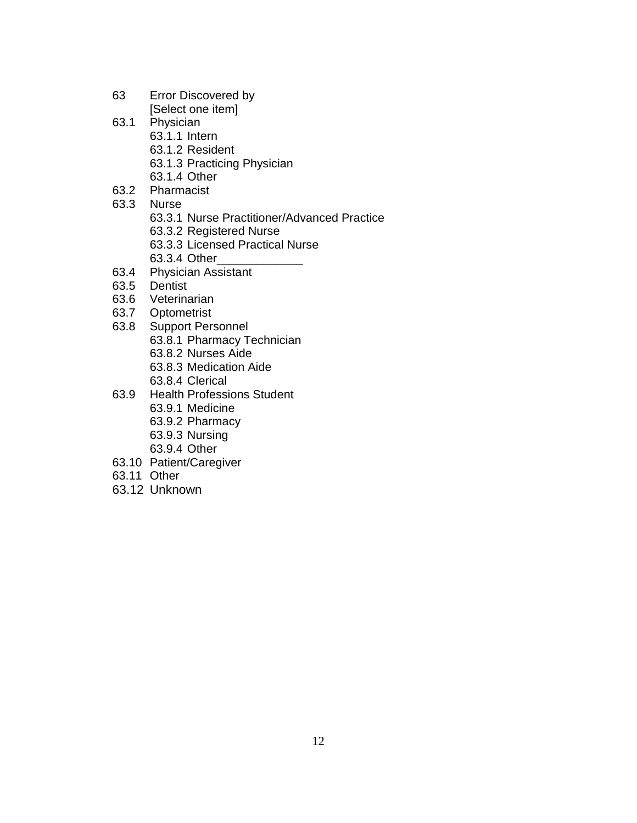- 63 Error Discovered by [Select one item]
- 63.1 Physician
	- 63.1.1 Intern
	- 63.1.2 Resident
	- 63.1.3 Practicing Physician
	- 63.1.4 Other
- 63.2 Pharmacist
- 63.3 Nurse
	- 63.3.1 Nurse Practitioner/Advanced Practice
	- 63.3.2 Registered Nurse
	- 63.3.3 Licensed Practical Nurse
	- 63.3.4 Other\_\_\_\_
- 63.4 Physician Assistant
- 63.5 Dentist
- 63.6 Veterinarian
- 63.7 Optometrist
- 63.8 Support Personnel
	- 63.8.1 Pharmacy Technician
	- 63.8.2 Nurses Aide
	- 63.8.3 Medication Aide
	- 63.8.4 Clerical
- 63.9 Health Professions Student
	- 63.9.1 Medicine
	- 63.9.2 Pharmacy
	- 63.9.3 Nursing
	- 63.9.4 Other
- 63.10 Patient/Caregiver
- 63.11 Other
- 63.12 Unknown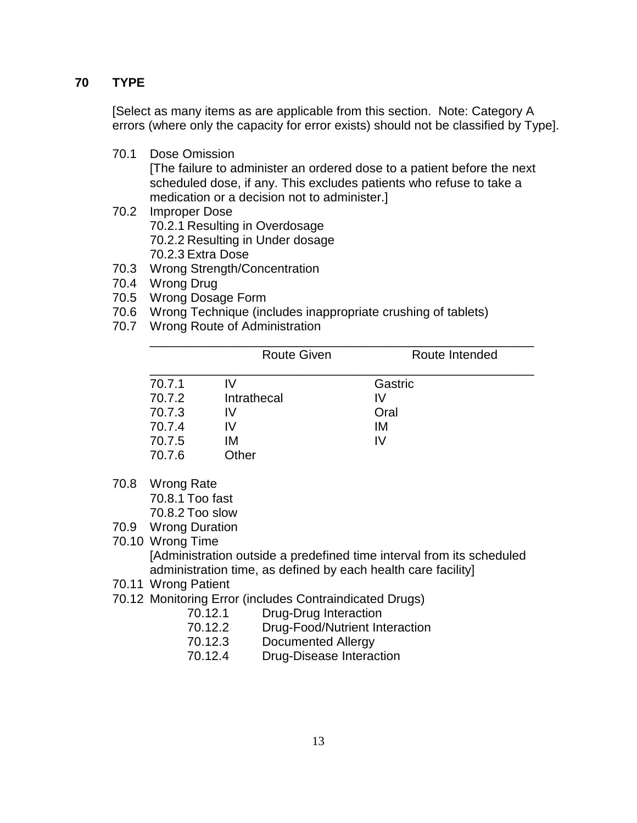# **70 TYPE**

[Select as many items as are applicable from this section. Note: Category A errors (where only the capacity for error exists) should not be classified by Type].

70.1 Dose Omission

[The failure to administer an ordered dose to a patient before the next scheduled dose, if any. This excludes patients who refuse to take a medication or a decision not to administer.]

- 70.2 Improper Dose 70.2.1 Resulting in Overdosage 70.2.2 Resulting in Under dosage 70.2.3 Extra Dose
- 70.3 Wrong Strength/Concentration
- 70.4 Wrong Drug
- 70.5 Wrong Dosage Form
- 70.6 Wrong Technique (includes inappropriate crushing of tablets)
- 70.7 Wrong Route of Administration

|        | <b>Route Given</b> | Route Intended |
|--------|--------------------|----------------|
| 70.7.1 | IV <sub></sub>     | Gastric        |
| 70.7.2 | Intrathecal        | IV             |
| 70.7.3 | IV                 | Oral           |
| 70.7.4 | IV.                | IM             |
| 70.7.5 | ΙM                 | IV.            |
| 70.7.6 | Other              |                |

70.8 Wrong Rate

70.8.1 Too fast 70.8.2 Too slow

- 70.9 Wrong Duration
- 70.10 Wrong Time

[Administration outside a predefined time interval from its scheduled administration time, as defined by each health care facility]

- 70.11 Wrong Patient
- 70.12 Monitoring Error (includes Contraindicated Drugs)
	- 70.12.1 Drug-Drug Interaction
		- 70.12.2 Drug-Food/Nutrient Interaction
		- 70.12.3 Documented Allergy
		- 70.12.4 Drug-Disease Interaction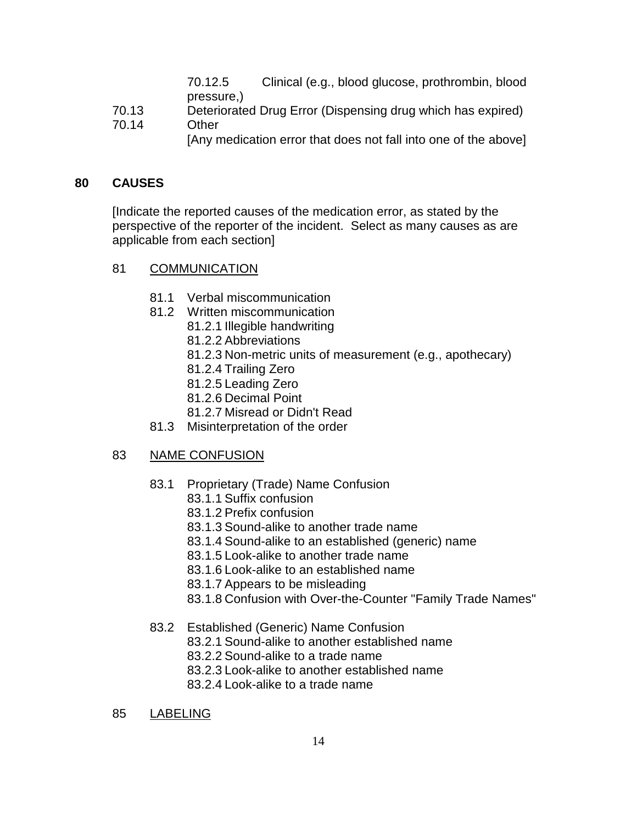70.12.5 Clinical (e.g., blood glucose, prothrombin, blood pressure,)

- 70.13 Deteriorated Drug Error (Dispensing drug which has expired)
- 70.14 Other [Any medication error that does not fall into one of the above]

## **80 CAUSES**

[Indicate the reported causes of the medication error, as stated by the perspective of the reporter of the incident. Select as many causes as are applicable from each section]

## 81 COMMUNICATION

- 81.1 Verbal miscommunication
- 81.2 Written miscommunication
	- 81.2.1 Illegible handwriting
	- 81.2.2 Abbreviations
	- 81.2.3 Non-metric units of measurement (e.g., apothecary)
	- 81.2.4 Trailing Zero
	- 81.2.5 Leading Zero
	- 81.2.6 Decimal Point
	- 81.2.7 Misread or Didn't Read
- 81.3 Misinterpretation of the order

## 83 NAME CONFUSION

- 83.1 Proprietary (Trade) Name Confusion
	- 83.1.1 Suffix confusion
	- 83.1.2 Prefix confusion
	- 83.1.3 Sound-alike to another trade name
	- 83.1.4 Sound-alike to an established (generic) name
	- 83.1.5 Look-alike to another trade name
	- 83.1.6 Look-alike to an established name
	- 83.1.7 Appears to be misleading
	- 83.1.8 Confusion with Over-the-Counter "Family Trade Names"
- 83.2 Established (Generic) Name Confusion
	- 83.2.1 Sound-alike to another established name
	- 83.2.2 Sound-alike to a trade name
	- 83.2.3 Look-alike to another established name
	- 83.2.4 Look-alike to a trade name
- 85 LABELING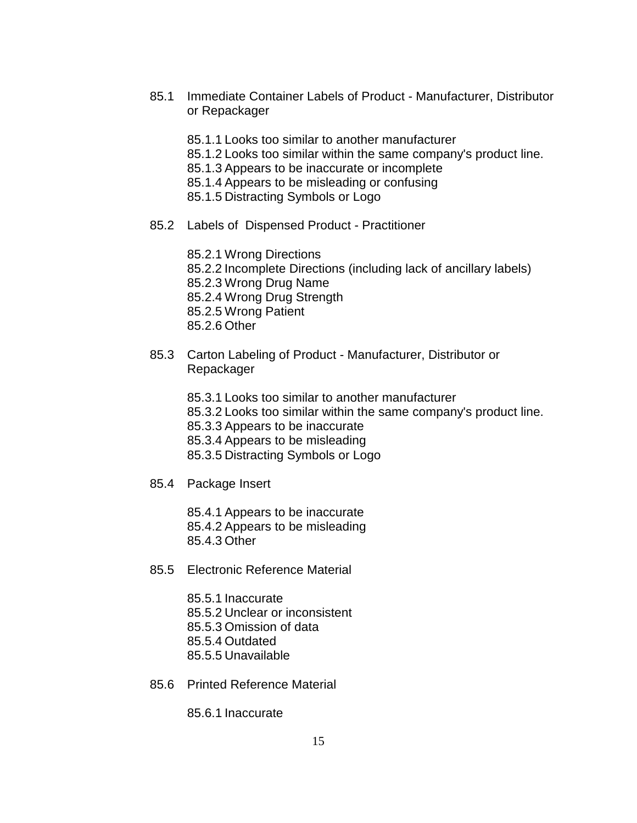- 85.1 Immediate Container Labels of Product Manufacturer, Distributor or Repackager
	- 85.1.1 Looks too similar to another manufacturer
	- 85.1.2 Looks too similar within the same company's product line.
	- 85.1.3 Appears to be inaccurate or incomplete
	- 85.1.4 Appears to be misleading or confusing
	- 85.1.5 Distracting Symbols or Logo
- 85.2 Labels of Dispensed Product Practitioner

85.2.1 Wrong Directions 85.2.2 Incomplete Directions (including lack of ancillary labels) 85.2.3 Wrong Drug Name 85.2.4 Wrong Drug Strength 85.2.5 Wrong Patient 85.2.6 Other

- 85.3 Carton Labeling of Product Manufacturer, Distributor or Repackager
	- 85.3.1 Looks too similar to another manufacturer
	- 85.3.2 Looks too similar within the same company's product line.
	- 85.3.3 Appears to be inaccurate
	- 85.3.4 Appears to be misleading
	- 85.3.5 Distracting Symbols or Logo
- 85.4 Package Insert

85.4.1 Appears to be inaccurate 85.4.2 Appears to be misleading

- 85.4.3 Other
- 85.5 Electronic Reference Material

85.5.1 Inaccurate 85.5.2 Unclear or inconsistent 85.5.3 Omission of data 85.5.4 Outdated 85.5.5 Unavailable

85.6 Printed Reference Material

85.6.1 Inaccurate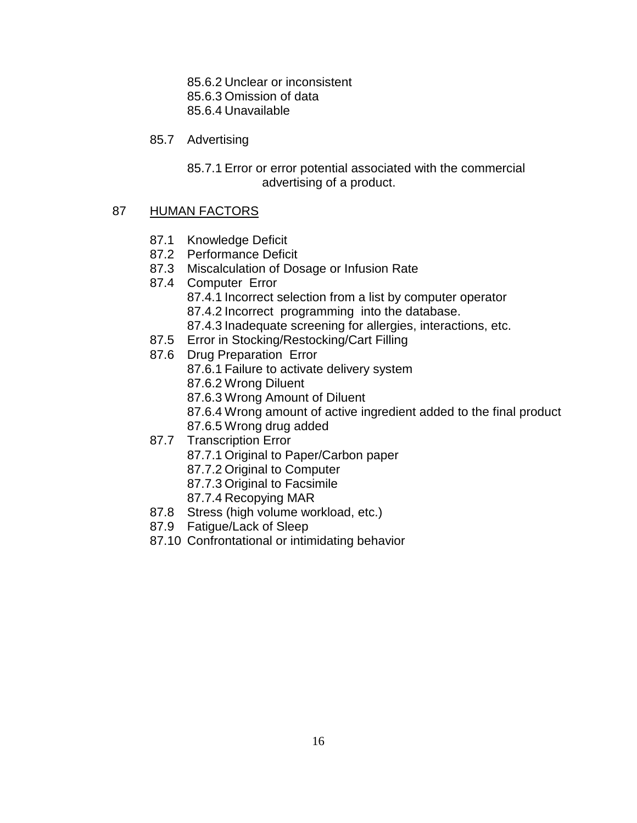85.6.2 Unclear or inconsistent

85.6.3 Omission of data

85.6.4 Unavailable

85.7 Advertising

85.7.1 Error or error potential associated with the commercial advertising of a product.

# 87 HUMAN FACTORS

- 87.1 Knowledge Deficit
- 87.2 Performance Deficit
- 87.3 Miscalculation of Dosage or Infusion Rate
- 87.4 Computer Error 87.4.1 Incorrect selection from a list by computer operator 87.4.2 Incorrect programming into the database.
	- 87.4.3 Inadequate screening for allergies, interactions, etc.
- 87.5 Error in Stocking/Restocking/Cart Filling
- 87.6 Drug Preparation Error
	- 87.6.1 Failure to activate delivery system
	- 87.6.2 Wrong Diluent
	- 87.6.3 Wrong Amount of Diluent
	- 87.6.4 Wrong amount of active ingredient added to the final product
	- 87.6.5 Wrong drug added
- 87.7 Transcription Error
	- 87.7.1 Original to Paper/Carbon paper
	- 87.7.2 Original to Computer
	- 87.7.3 Original to Facsimile
	- 87.7.4 Recopying MAR
- 87.8 Stress (high volume workload, etc.)
- 87.9 Fatigue/Lack of Sleep
- 87.10 Confrontational or intimidating behavior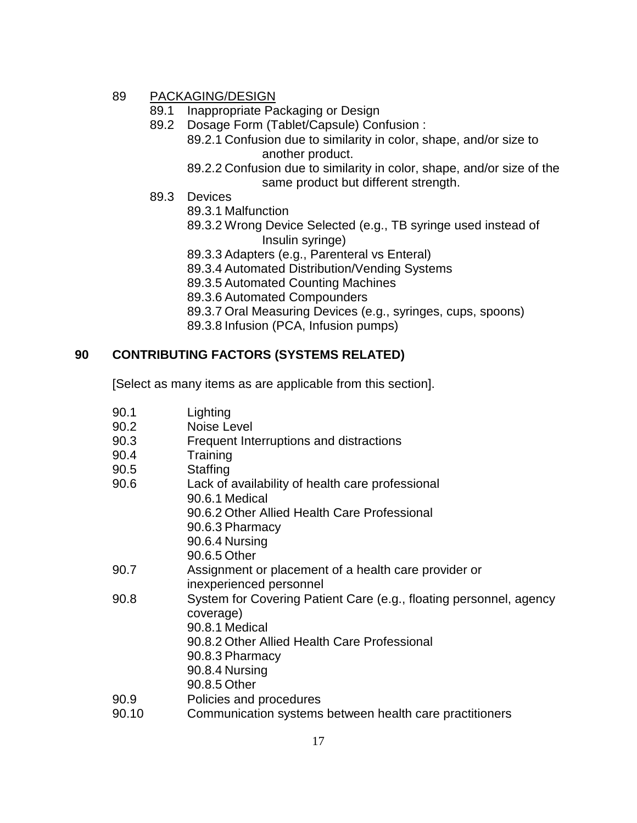## 89 PACKAGING/DESIGN

- 89.1 Inappropriate Packaging or Design
- 89.2 Dosage Form (Tablet/Capsule) Confusion :
	- 89.2.1 Confusion due to similarity in color, shape, and/or size to another product.
	- 89.2.2 Confusion due to similarity in color, shape, and/or size of the same product but different strength.
- 89.3 Devices
	- 89.3.1 Malfunction
	- 89.3.2 Wrong Device Selected (e.g., TB syringe used instead of Insulin syringe)
	- 89.3.3 Adapters (e.g., Parenteral vs Enteral)
	- 89.3.4 Automated Distribution/Vending Systems
	- 89.3.5 Automated Counting Machines
	- 89.3.6 Automated Compounders
	- 89.3.7 Oral Measuring Devices (e.g., syringes, cups, spoons)
	- 89.3.8 Infusion (PCA, Infusion pumps)

## **90 CONTRIBUTING FACTORS (SYSTEMS RELATED)**

[Select as many items as are applicable from this section].

| 90.1  | Lighting                                                           |
|-------|--------------------------------------------------------------------|
| 90.2  | Noise Level                                                        |
| 90.3  | Frequent Interruptions and distractions                            |
| 90.4  | Training                                                           |
| 90.5  | Staffing                                                           |
| 90.6  | Lack of availability of health care professional                   |
|       | 90.6.1 Medical                                                     |
|       | 90.6.2 Other Allied Health Care Professional                       |
|       | 90.6.3 Pharmacy                                                    |
|       | 90.6.4 Nursing                                                     |
|       | 90.6.5 Other                                                       |
| 90.7  | Assignment or placement of a health care provider or               |
|       | inexperienced personnel                                            |
| 90.8  | System for Covering Patient Care (e.g., floating personnel, agency |
|       | coverage)                                                          |
|       | 90.8.1 Medical                                                     |
|       | 90.8.2 Other Allied Health Care Professional                       |
|       | 90.8.3 Pharmacy                                                    |
|       | 90.8.4 Nursing                                                     |
|       | 90.8.5 Other                                                       |
| 90.9  | Policies and procedures                                            |
| 90.10 | Communication systems between health care practitioners            |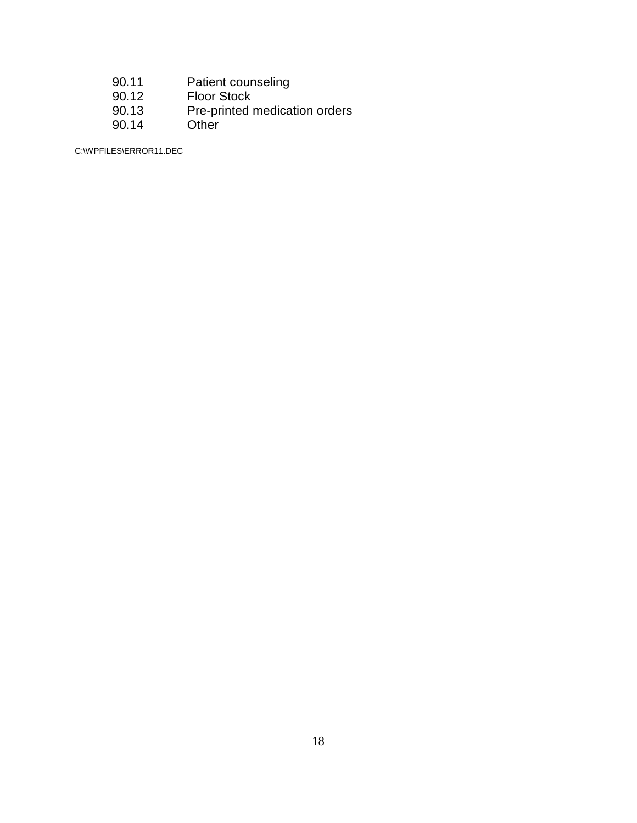- 90.11 Patient counseling
- 90.12 Floor Stock
- 90.13 Pre-printed medication orders<br>90.14 Other
- $90.14$

C:\WPFILES\ERROR11.DEC